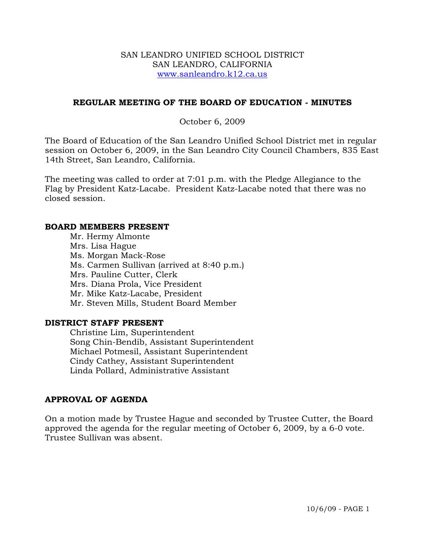### SAN LEANDRO UNIFIED SCHOOL DISTRICT SAN LEANDRO, CALIFORNIA www.sanleandro.k12.ca.us

## **REGULAR MEETING OF THE BOARD OF EDUCATION - MINUTES**

## October 6, 2009

The Board of Education of the San Leandro Unified School District met in regular session on October 6, 2009, in the San Leandro City Council Chambers, 835 East 14th Street, San Leandro, California.

The meeting was called to order at 7:01 p.m. with the Pledge Allegiance to the Flag by President Katz-Lacabe. President Katz-Lacabe noted that there was no closed session.

#### **BOARD MEMBERS PRESENT**

Mr. Hermy Almonte Mrs. Lisa Hague Ms. Morgan Mack-Rose Ms. Carmen Sullivan (arrived at 8:40 p.m.) Mrs. Pauline Cutter, Clerk Mrs. Diana Prola, Vice President Mr. Mike Katz-Lacabe, President Mr. Steven Mills, Student Board Member

### **DISTRICT STAFF PRESENT**

Christine Lim, Superintendent Song Chin-Bendib, Assistant Superintendent Michael Potmesil, Assistant Superintendent Cindy Cathey, Assistant Superintendent Linda Pollard, Administrative Assistant

# **APPROVAL OF AGENDA**

On a motion made by Trustee Hague and seconded by Trustee Cutter, the Board approved the agenda for the regular meeting of October 6, 2009, by a 6-0 vote. Trustee Sullivan was absent.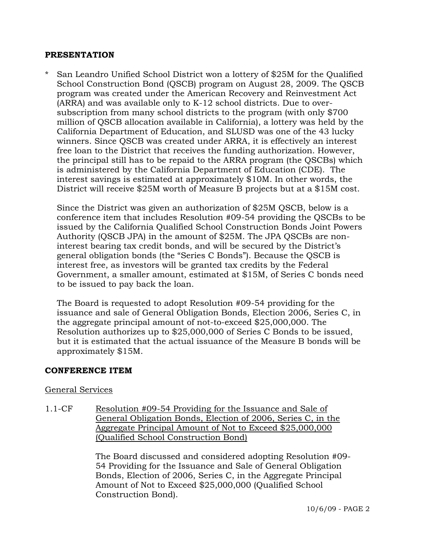### **PRESENTATION**

San Leandro Unified School District won a lottery of \$25M for the Qualified School Construction Bond (QSCB) program on August 28, 2009. The QSCB program was created under the American Recovery and Reinvestment Act (ARRA) and was available only to K-12 school districts. Due to oversubscription from many school districts to the program (with only \$700 million of QSCB allocation available in California), a lottery was held by the California Department of Education, and SLUSD was one of the 43 lucky winners. Since QSCB was created under ARRA, it is effectively an interest free loan to the District that receives the funding authorization. However, the principal still has to be repaid to the ARRA program (the QSCBs) which is administered by the California Department of Education (CDE). The interest savings is estimated at approximately \$10M. In other words, the District will receive \$25M worth of Measure B projects but at a \$15M cost.

Since the District was given an authorization of \$25M QSCB, below is a conference item that includes Resolution #09-54 providing the QSCBs to be issued by the California Qualified School Construction Bonds Joint Powers Authority (QSCB JPA) in the amount of \$25M. The JPA QSCBs are noninterest bearing tax credit bonds, and will be secured by the District's general obligation bonds (the "Series C Bonds"). Because the QSCB is interest free, as investors will be granted tax credits by the Federal Government, a smaller amount, estimated at \$15M, of Series C bonds need to be issued to pay back the loan.

The Board is requested to adopt Resolution #09-54 providing for the issuance and sale of General Obligation Bonds, Election 2006, Series C, in the aggregate principal amount of not-to-exceed \$25,000,000. The Resolution authorizes up to \$25,000,000 of Series C Bonds to be issued, but it is estimated that the actual issuance of the Measure B bonds will be approximately \$15M.

# **CONFERENCE ITEM**

# General Services

1.1-CF Resolution #09-54 Providing for the Issuance and Sale of General Obligation Bonds, Election of 2006, Series C, in the Aggregate Principal Amount of Not to Exceed \$25,000,000 (Qualified School Construction Bond)

> The Board discussed and considered adopting Resolution #09- 54 Providing for the Issuance and Sale of General Obligation Bonds, Election of 2006, Series C, in the Aggregate Principal Amount of Not to Exceed \$25,000,000 (Qualified School Construction Bond).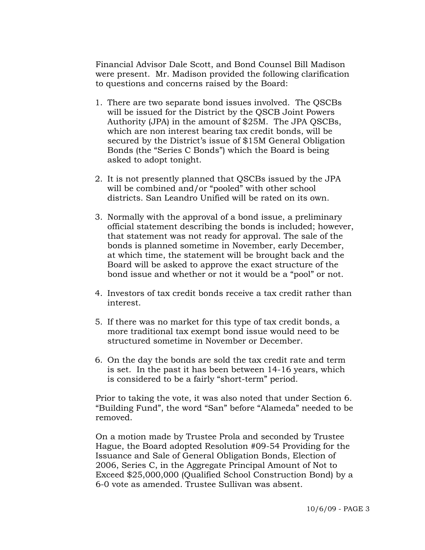Financial Advisor Dale Scott, and Bond Counsel Bill Madison were present. Mr. Madison provided the following clarification to questions and concerns raised by the Board:

- 1. There are two separate bond issues involved. The QSCBs will be issued for the District by the QSCB Joint Powers Authority (JPA) in the amount of \$25M. The JPA QSCBs, which are non interest bearing tax credit bonds, will be secured by the District's issue of \$15M General Obligation Bonds (the "Series C Bonds") which the Board is being asked to adopt tonight.
- 2. It is not presently planned that QSCBs issued by the JPA will be combined and/or "pooled" with other school districts. San Leandro Unified will be rated on its own.
- 3. Normally with the approval of a bond issue, a preliminary official statement describing the bonds is included; however, that statement was not ready for approval. The sale of the bonds is planned sometime in November, early December, at which time, the statement will be brought back and the Board will be asked to approve the exact structure of the bond issue and whether or not it would be a "pool" or not.
- 4. Investors of tax credit bonds receive a tax credit rather than interest.
- 5. If there was no market for this type of tax credit bonds, a more traditional tax exempt bond issue would need to be structured sometime in November or December.
- 6. On the day the bonds are sold the tax credit rate and term is set. In the past it has been between 14-16 years, which is considered to be a fairly "short-term" period.

Prior to taking the vote, it was also noted that under Section 6. "Building Fund", the word "San" before "Alameda" needed to be removed.

On a motion made by Trustee Prola and seconded by Trustee Hague, the Board adopted Resolution #09-54 Providing for the Issuance and Sale of General Obligation Bonds, Election of 2006, Series C, in the Aggregate Principal Amount of Not to Exceed \$25,000,000 (Qualified School Construction Bond) by a 6-0 vote as amended. Trustee Sullivan was absent.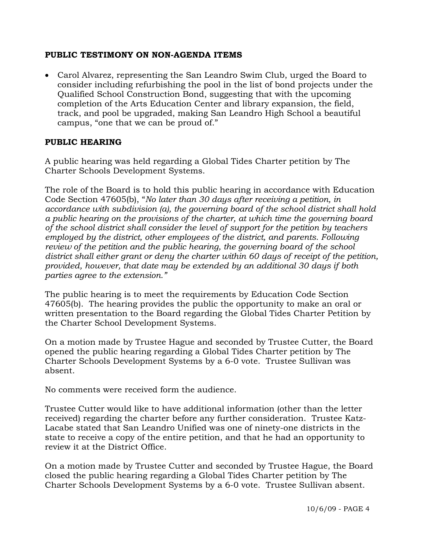# **PUBLIC TESTIMONY ON NON-AGENDA ITEMS**

• Carol Alvarez, representing the San Leandro Swim Club, urged the Board to consider including refurbishing the pool in the list of bond projects under the Qualified School Construction Bond, suggesting that with the upcoming completion of the Arts Education Center and library expansion, the field, track, and pool be upgraded, making San Leandro High School a beautiful campus, "one that we can be proud of."

## **PUBLIC HEARING**

A public hearing was held regarding a Global Tides Charter petition by The Charter Schools Development Systems.

The role of the Board is to hold this public hearing in accordance with Education Code Section 47605(b), "*No later than 30 days after receiving a petition, in accordance with subdivision (a), the governing board of the school district shall hold a public hearing on the provisions of the charter, at which time the governing board of the school district shall consider the level of support for the petition by teachers employed by the district, other employees of the district, and parents. Following review of the petition and the public hearing, the governing board of the school district shall either grant or deny the charter within 60 days of receipt of the petition, provided, however, that date may be extended by an additional 30 days if both parties agree to the extension."* 

The public hearing is to meet the requirements by Education Code Section 47605(b). The hearing provides the public the opportunity to make an oral or written presentation to the Board regarding the Global Tides Charter Petition by the Charter School Development Systems.

On a motion made by Trustee Hague and seconded by Trustee Cutter, the Board opened the public hearing regarding a Global Tides Charter petition by The Charter Schools Development Systems by a 6-0 vote. Trustee Sullivan was absent.

No comments were received form the audience.

Trustee Cutter would like to have additional information (other than the letter received) regarding the charter before any further consideration. Trustee Katz-Lacabe stated that San Leandro Unified was one of ninety-one districts in the state to receive a copy of the entire petition, and that he had an opportunity to review it at the District Office.

On a motion made by Trustee Cutter and seconded by Trustee Hague, the Board closed the public hearing regarding a Global Tides Charter petition by The Charter Schools Development Systems by a 6-0 vote. Trustee Sullivan absent.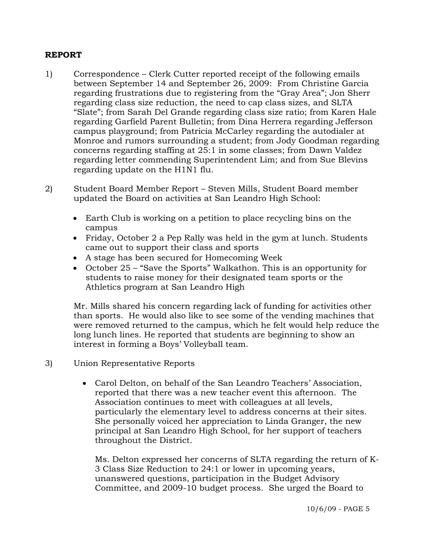## **REPORT**

- 1) Correspondence Clerk Cutter reported receipt of the following emails between September 14 and September 26, 2009: From Christine Garcia regarding frustrations due to registering from the "Gray Area"; Jon Sherr regarding class size reduction, the need to cap class sizes, and SLTA "Slate"; from Sarah Del Grande regarding class size ratio; from Karen Hale regarding Garfield Parent Bulletin; from Dina Herrera regarding Jefferson campus playground; from Patricia McCarley regarding the autodialer at Monroe and rumors surrounding a student; from Jody Goodman regarding concerns regarding staffing at 25:1 in some classes; from Dawn Valdez regarding letter commending Superintendent Lim; and from Sue Blevins regarding update on the H1N1 flu.
- 2) Student Board Member Report Steven Mills, Student Board member updated the Board on activities at San Leandro High School:
	- Earth Club is working on a petition to place recycling bins on the campus
	- Friday, October 2 a Pep Rally was held in the gym at lunch. Students came out to support their class and sports
	- A stage has been secured for Homecoming Week
	- October 25 "Save the Sports" Walkathon. This is an opportunity for students to raise money for their designated team sports or the Athletics program at San Leandro High

Mr. Mills shared his concern regarding lack of funding for activities other than sports. He would also like to see some of the vending machines that were removed returned to the campus, which he felt would help reduce the long lunch lines. He reported that students are beginning to show an interest in forming a Boys' Volleyball team.

- 3) Union Representative Reports
	- Carol Delton, on behalf of the San Leandro Teachers' Association, reported that there was a new teacher event this afternoon. The Association continues to meet with colleagues at all levels, particularly the elementary level to address concerns at their sites. She personally voiced her appreciation to Linda Granger, the new principal at San Leandro High School, for her support of teachers throughout the District.

Ms. Delton expressed her concerns of SLTA regarding the return of K-3 Class Size Reduction to 24:1 or lower in upcoming years, unanswered questions, participation in the Budget Advisory Committee, and 2009-10 budget process. She urged the Board to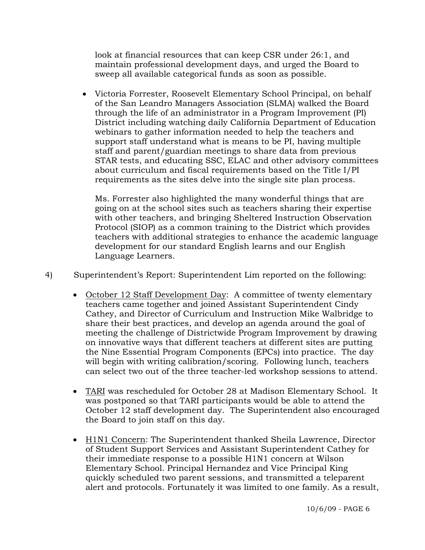look at financial resources that can keep CSR under 26:1, and maintain professional development days, and urged the Board to sweep all available categorical funds as soon as possible.

• Victoria Forrester, Roosevelt Elementary School Principal, on behalf of the San Leandro Managers Association (SLMA) walked the Board through the life of an administrator in a Program Improvement (PI) District including watching daily California Department of Education webinars to gather information needed to help the teachers and support staff understand what is means to be PI, having multiple staff and parent/guardian meetings to share data from previous STAR tests, and educating SSC, ELAC and other advisory committees about curriculum and fiscal requirements based on the Title I/PI requirements as the sites delve into the single site plan process.

Ms. Forrester also highlighted the many wonderful things that are going on at the school sites such as teachers sharing their expertise with other teachers, and bringing Sheltered Instruction Observation Protocol (SIOP) as a common training to the District which provides teachers with additional strategies to enhance the academic language development for our standard English learns and our English Language Learners.

4) Superintendent's Report: Superintendent Lim reported on the following:

- October 12 Staff Development Day: A committee of twenty elementary teachers came together and joined Assistant Superintendent Cindy Cathey, and Director of Curriculum and Instruction Mike Walbridge to share their best practices, and develop an agenda around the goal of meeting the challenge of Districtwide Program Improvement by drawing on innovative ways that different teachers at different sites are putting the Nine Essential Program Components (EPCs) into practice. The day will begin with writing calibration/scoring. Following lunch, teachers can select two out of the three teacher-led workshop sessions to attend.
- TARI was rescheduled for October 28 at Madison Elementary School. It was postponed so that TARI participants would be able to attend the October 12 staff development day. The Superintendent also encouraged the Board to join staff on this day.
- H1N1 Concern: The Superintendent thanked Sheila Lawrence, Director of Student Support Services and Assistant Superintendent Cathey for their immediate response to a possible H1N1 concern at Wilson Elementary School. Principal Hernandez and Vice Principal King quickly scheduled two parent sessions, and transmitted a teleparent alert and protocols. Fortunately it was limited to one family. As a result,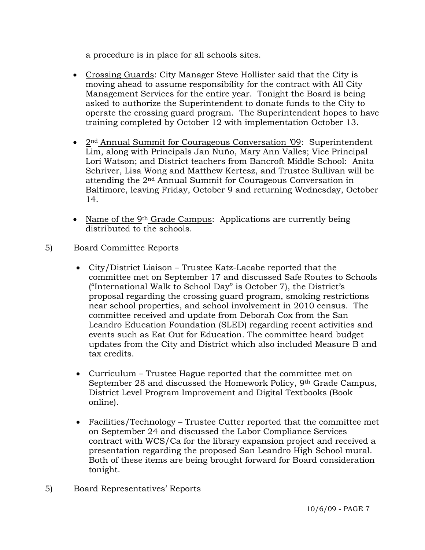a procedure is in place for all schools sites.

- Crossing Guards: City Manager Steve Hollister said that the City is moving ahead to assume responsibility for the contract with All City Management Services for the entire year. Tonight the Board is being asked to authorize the Superintendent to donate funds to the City to operate the crossing guard program. The Superintendent hopes to have training completed by October 12 with implementation October 13.
- 2<sup>nd</sup> Annual Summit for Courageous Conversation '09: Superintendent Lim, along with Principals Jan Nuño, Mary Ann Valles; Vice Principal Lori Watson; and District teachers from Bancroft Middle School: Anita Schriver, Lisa Wong and Matthew Kertesz, and Trustee Sullivan wil l be attending the 2 nd Annual Summit for Courageous Conversation in Baltimore, leaving Friday, October 9 and returning Wednesday, October 14.
- Name of the 9<sup>th</sup> Grade Campus: Applications are currently being distributed to the schools.
- 5) Board Committee Reports
	- City/District Liaison Trustee Katz-Lacabe reported that the committee met on September 17 and discussed Safe Routes to Schools near school properties, and school involvement in 2010 census. The updates from the City and District which also included Measure B and tax credits. ("International Walk to School Day" is October 7), the District's proposal regarding the crossing guard program, smoking restrictions committee received and update from Deborah Cox from the San Leandro Education Foundation (SLED) regarding recent activities and events such as Eat Out for Education. The committee heard budget
	- Curriculum Trustee Hague reported that the committee met on September 28 and discussed the Homework Policy, 9<sup>th</sup> Grade Campus, District Level Program Improvement and Digital Textbooks (Book online).
	- Facilities/Technology Trustee Cutter reported that the committee met Both of these items are being brought forward for Board consideration on September 24 and discussed the Labor Compliance Services contract with WCS/Ca for the library expansion project and received a presentation regarding the proposed San Leandro High School mural. tonight.
- 5) Board Representatives' Reports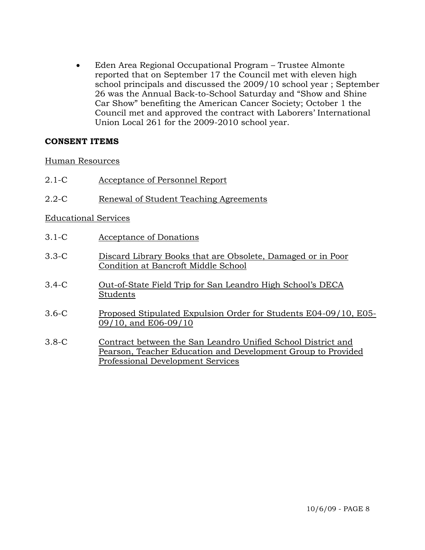Eden Area Regional Occupational Program – Trustee Almonte reported that on September 17 the Council met with eleven high school principals and discussed the 2009/10 school year ; Septemb er 26 was the Annual Back-to-School Saturday and "Show and Shine Car Show" benefiting the American Cancer Society; October 1 the Council met and approved the contract with Labo rers' International • Union Local 261 for the 2009-2010 school year.

# **ONSENT ITEMS C**

### Human Resources

- 2.1-C Acceptance of Personnel Report
- 2.2-C Renewal of Student Teaching Agreements

# Educational Services

- 3.1-C Acceptance of Donations
- 3.3-C Discard Library Books that are Obsolete, Damaged or in Poor Condition at Bancroft Middle School
- 3.4-C Out-of-State Field Trip for San Leandro High School's DECA Students
- 3.6-C Proposed Stipulated Expulsion Order for Students E04-09/10, E05- 09/10, and E06-09/10
- 3.8-C Contract between the San Leandro Unified School District and Pearson, Teacher Education and Development Group to Provided Professional Development Services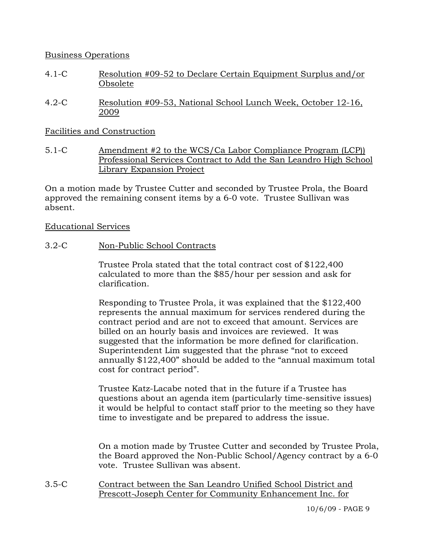# Business Operations

- 4.1-C Resolution #09-52 to Declare Certain Equipment Surplus and/or Obsolete
- 4.2-C Resolution #09-53, National School Lunch Week, October 12-16, 2009

# Facilities and Construction

5.1-C Amendment #2 to the WCS/Ca Labor Compliance Program (LCP)) Professional Services Contract to Add the San Leandro High School Library Expansion Project

On a motion made by Trustee Cutter and seconded by Trustee Prola, the Board approved the remaining consent items by a 6-0 vote. Trustee Sullivan was absent.

### Educational Services

3.2-C Non-Public School Contracts

Trustee Prola stated that the total contract cost of \$122,400 calculated to more than the \$85/hour per session and ask for clarification.

Responding to Trustee Prola, it was explained that the \$122,400 represents the annual maximum for services rendered during the contract period and are not to exceed that amount. Services are billed on an hourly basis and invoices are reviewed. It was suggested that the information be more defined for clarification. Superintendent Lim suggested that the phrase "not to exceed annually \$122,400" should be added to the "annual maximum total cost for contract period".

Trustee Katz-Lacabe noted that in the future if a Trustee has questions about an agenda item (particularly time-sensitive issues) it would be helpful to contact staff prior to the meeting so they have time to investigate and be prepared to address the issue.

On a motion made by Trustee Cutter and seconded by Trustee Prola, the Board approved the Non-Public School/Agency contract by a 6-0 vote. Trustee Sullivan was absent.

3.5-C Contract between the San Leandro Unified School District and Prescott-Joseph Center for Community Enhancement Inc. for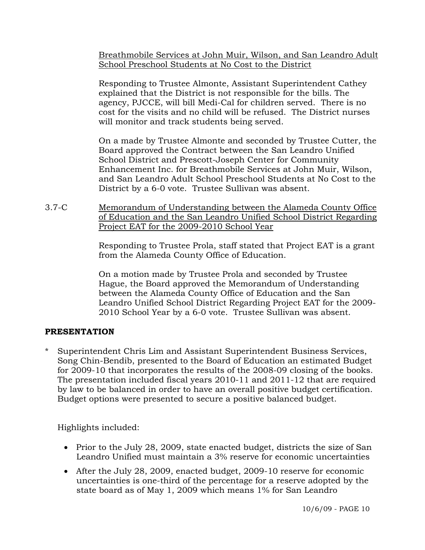Breathmobile Services at John Muir, Wilson, and San Leandro Adult School Preschool Students at No Cost to the District

Responding to Trustee Almonte, Assistant Superintendent Cathey explained that the District is not responsible for the bills. The agency, PJCCE, will bill Medi-Cal for children served. There is no cost for the visits and no child will be refused. The District nurses will monitor and track students being served.

On a made by Trustee Almonte and seconded by Trustee Cutter, the Board approved the Contract between the San Leandro Unified School District and Prescott-Joseph Center for Community Enhancement Inc. for Breathmobile Services at John Muir, Wilson, and San Leandro Adult School Preschool Students at No Cost to the District by a 6-0 vote. Trustee Sullivan was absent.

3.7-C Memorandum of Understanding between the Alameda County Office of Education and the San Leandro Unified School District Regarding Project EAT for the 2009-2010 School Year

> Responding to Trustee Prola, staff stated that Project EAT is a grant from the Alameda County Office of Education.

> On a motion made by Trustee Prola and seconded by Trustee Hague, the Board approved the Memorandum of Understanding between the Alameda County Office of Education and the San Leandro Unified School District Regarding Project EAT for the 2009- 2010 School Year by a 6-0 vote. Trustee Sullivan was absent.

# **PRESENTATION**

Superintendent Chris Lim and Assistant Superintendent Business Services, Song Chin-Bendib, presented to the Board of Education an estimated Budget for 2009-10 that incorporates the results of the 2008-09 closing of the books. The presentation included fiscal years 2010-11 and 2011-12 that are required by law to be balanced in order to have an overall positive budget certification. Budget options were presented to secure a positive balanced budget.

Highlights included:

- Prior to the July 28, 2009, state enacted budget, districts the size of San Leandro Unified must maintain a 3% reserve for economic uncertainties
- After the July 28, 2009, enacted budget, 2009-10 reserve for economic uncertainties is one-third of the percentage for a reserve adopted by the state board as of May 1, 2009 which means 1% for San Leandro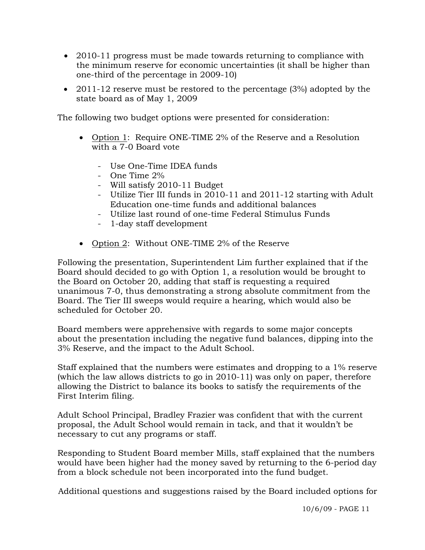- 2010-11 progress must be made towards returning to compliance with the minimum reserve for economic uncertainties (it shall be higher than one-third of the percentage in 2009-10)
- 2011-12 reserve must be restored to the percentage (3%) adopted by the state board as of May 1, 2009

The following two budget options were presented for consideration:

- Option 1: Require ONE-TIME 2% of the Reserve and a Resolution with a 7-0 Board vote
	- Use One-Time IDEA funds
	- One Time 2%
	- Will satisfy 2010-11 Budget
	- Utilize Tier III funds in 2010-11 and 2011-12 starting with Adult Education one-time funds and additional balances
	- Utilize last round of one-time Federal Stimulus Funds
	- 1-day staff development
- Option 2: Without ONE-TIME 2% of the Reserve

 Following the presentation, Superintendent Lim further explained that if the Board should decided to go with Option 1, a resolution would be brought to the Board on October 20, adding that staff is requesting a required unanimous 7-0, thus demonstrating a strong absolute commitment from the Board. The Tier III sweeps would require a hearing, which would also be scheduled for October 20.

 Board members were apprehensive with regards to some major concepts about the presentation including the negative fund balances, dipping into the 3% Reserve, and the impact to the Adult School.

 Staff explained that the numbers were estimates and dropping to a 1% reserve (which the law allows districts to go in 2010-11) was only on paper, therefore allowing the District to balance its books to satisfy the requirements of the First Interim filing.

 Adult School Principal, Bradley Frazier was confident that with the current proposal, the Adult School would remain in tack, and that it wouldn't be necessary to cut any programs or staff.

 Responding to Student Board member Mills, staff explained that the numbers would have been higher had the money saved by returning to the 6-period day from a block schedule not been incorporated into the fund budget.

Additional questions and suggestions raised by the Board included options for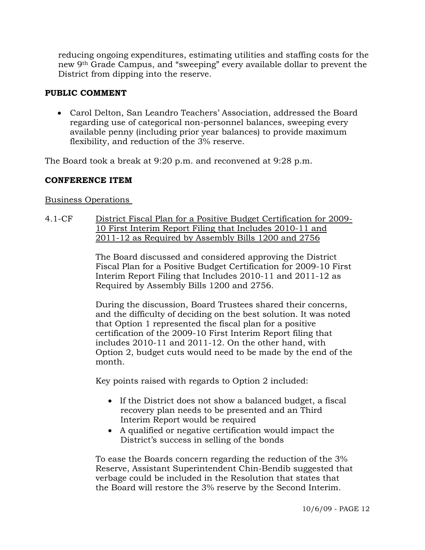reducing ongoing expenditures, estimating utilities and staffing costs for the new 9th Grade Campus, and "sweeping" every available dollar to prevent the District from dipping into the reserve.

# **PUBLIC COMMENT**

• Carol Delton, San Leandro Teachers' Association, addressed the Board regarding use of categorical non-personnel balances, sweeping every available penny (including prior year balances) to provide maximum flexibility, and reduction of the 3% reserve.

The Board took a break at 9:20 p.m. and reconvened at 9:28 p.m.

# **CONFERENCE ITEM**

# Business Operations

4.1-CF District Fiscal Plan for a Positive Budget Certification for 2009- 10 First Interim Report Filing that Includes 2010-11 and 2011-12 as Required by Assembly Bills 1200 and 2756

> The Board discussed and considered approving the District Fiscal Plan for a Positive Budget Certification for 2009-10 First Interim Report Filing that Includes 2010-11 and 2011-12 as Required by Assembly Bills 1200 and 2756.

> During the discussion, Board Trustees shared their concerns, and the difficulty of deciding on the best solution. It was noted that Option 1 represented the fiscal plan for a positive certification of the 2009-10 First Interim Report filing that includes 2010-11 and 2011-12. On the other hand, with Option 2, budget cuts would need to be made by the end of the month.

Key points raised with regards to Option 2 included:

- If the District does not show a balanced budget, a fiscal recovery plan needs to be presented and an Third Interim Report would be required
- A qualified or negative certification would impact the District's success in selling of the bonds

To ease the Boards concern regarding the reduction of the 3% Reserve, Assistant Superintendent Chin-Bendib suggested that verbage could be included in the Resolution that states that the Board will restore the 3% reserve by the Second Interim.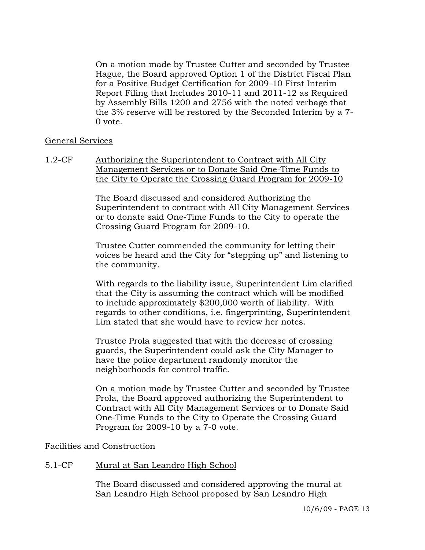On a motion made by Trustee Cutter and seconded by Trustee Hague, the Board approved Option 1 of the District Fiscal Plan for a Positive Budget Certification for 2009-10 First Interim Report Filing that Includes 2010-11 and 2011-12 as Required by Assembly Bills 1200 and 2756 with the noted verbage that the 3% reserve will be restored by the Seconded Interim by a 7- 0 vote.

### General Services

1.2-CF Authorizing the Superintendent to Contract with All City Management Services or to Donate Said One-Time Funds to the City to Operate the Crossing Guard Program for 2009-10

> The Board discussed and considered Authorizing the Superintendent to contract with All City Management Services or to donate said One-Time Funds to the City to operate the Crossing Guard Program for 2009-10.

> Trustee Cutter commended the community for letting their voices be heard and the City for "stepping up" and listening to the community.

With regards to the liability issue, Superintendent Lim clarified that the City is assuming the contract which will be modified to include approximately \$200,000 worth of liability. With regards to other conditions, i.e. fingerprinting, Superintendent Lim stated that she would have to review her notes.

Trustee Prola suggested that with the decrease of crossing guards, the Superintendent could ask the City Manager to have the police department randomly monitor the neighborhoods for control traffic.

On a motion made by Trustee Cutter and seconded by Trustee Prola, the Board approved authorizing the Superintendent to Contract with All City Management Services or to Donate Said One-Time Funds to the City to Operate the Crossing Guard Program for 2009-10 by a 7-0 vote.

# Facilities and Construction

# 5.1-CF Mural at San Leandro High School

The Board discussed and considered approving the mural at San Leandro High School proposed by San Leandro High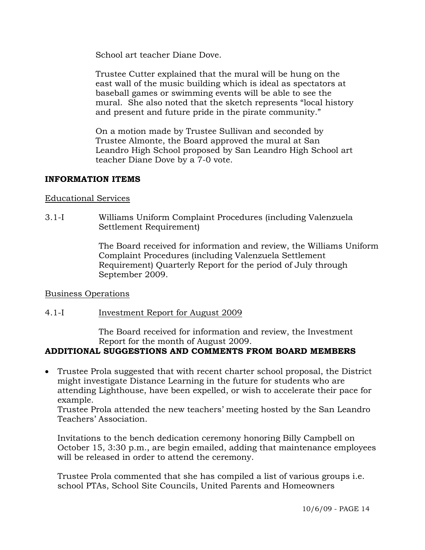School art teacher Diane Dove.

Trustee Cutter explained that the mural will be hung on the east wall of the music building which is ideal as spectators at baseball games or swimming events will be able to see the mural. She also noted that the sketch represents "local history and present and future pride in the pirate community."

On a motion made by Trustee Sullivan and seconded by Trustee Almonte, the Board approved the mural at San Leandro High School proposed by San Leandro High School art teacher Diane Dove by a 7-0 vote.

### **INFORMATION ITEMS**

### Educational Services

3.1-I Williams Uniform Complaint Procedures (including Valenzuela Settlement Requirement)

> The Board received for information and review, the Williams Uniform Complaint Procedures (including Valenzuela Settlement Requirement) Quarterly Report for the period of July through September 2009.

### Business Operations

# 4.1-I Investment Report for August 2009

The Board received for information and review, the Investment Report for the month of August 2009.

# **ADDITIONAL SUGGESTIONS AND COMMENTS FROM BOARD MEMBERS**

• Trustee Prola suggested that with recent charter school proposal, the District might investigate Distance Learning in the future for students who are attending Lighthouse, have been expelled, or wish to accelerate their pace for example.

Trustee Prola attended the new teachers' meeting hosted by the San Leandro Teachers' Association.

Invitations to the bench dedication ceremony honoring Billy Campbell on October 15, 3:30 p.m., are begin emailed, adding that maintenance employees will be released in order to attend the ceremony.

Trustee Prola commented that she has compiled a list of various groups i.e. school PTAs, School Site Councils, United Parents and Homeowners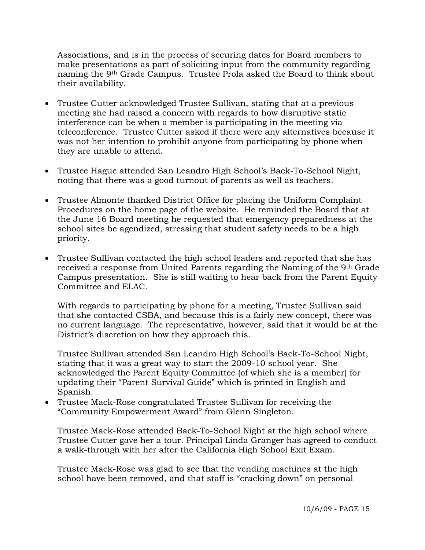Associations, and is in the process of securing dates for Board members to make presentations as part of soliciting input from the community regarding naming the 9th Grade Campus. Trustee Prola asked the Board to think about their availability.

- Trustee Cutter acknowledged Trustee Sullivan, stating that at a previous meeting she had raised a concern with regards to how disruptive static interference can be when a member is participating in the meeting via teleconference. Trustee Cutter asked if there were any alternatives because it was not her intention to prohibit anyone from participating by phone when they are unable to attend.
- Trustee Hague attended San Leandro High School's Back-To-School Night, noting that there was a good turnout of parents as well as teachers.
- Trustee Almonte thanked District Office for placing the Uniform Complaint Procedures on the home page of the website. He reminded the Board that at the June 16 Board meeting he requested that emergency preparedness at the school sites be agendized, stressing that student safety needs to be a high priority.
- Trustee Sullivan contacted the high school leaders and reported that she has received a response from United Parents regarding the Naming of the 9th Grade Campus presentation. She is still waiting to hear back from the Parent Equity Committee and ELAC.

With regards to participating by phone for a meeting, Trustee Sullivan said that she contacted CSBA, and because this is a fairly new concept, there was no current language. The representative, however, said that it would be at the District's discretion on how they approach this.

Trustee Sullivan attended San Leandro High School's Back-To-School Night, stating that it was a great way to start the 2009-10 school year. She acknowledged the Parent Equity Committee (of which she is a member) for updating their "Parent Survival Guide" which is printed in English and Spanish.

• Trustee Mack-Rose congratulated Trustee Sullivan for receiving the "Community Empowerment Award" from Glenn Singleton.

Trustee Mack-Rose attended Back-To-School Night at the high school where Trustee Cutter gave her a tour. Principal Linda Granger has agreed to conduct a walk-through with her after the California High School Exit Exam.

Trustee Mack-Rose was glad to see that the vending machines at the high school have been removed, and that staff is "cracking down" on personal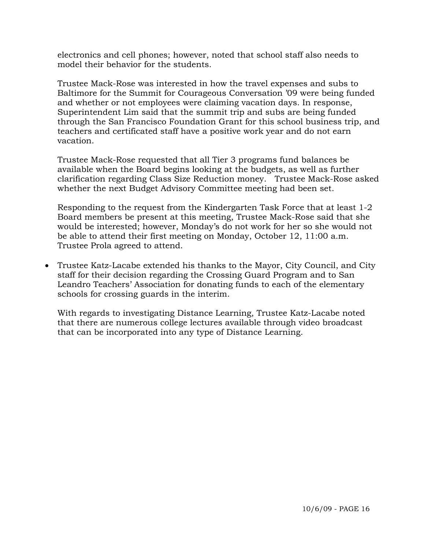electronics and cell phones; however, noted that school staff also needs to model their behavior for the students.

Trustee Mack-Rose was interested in how the travel expenses and subs to Baltimore for the Summit for Courageous Conversation '09 were being funded and whether or not employees were claiming vacation days. In response, Superintendent Lim said that the summit trip and subs are being funded through the San Francisco Foundation Grant for this school business trip, and teachers and certificated staff have a positive work year and do not earn vacation.

Trustee Mack-Rose requested that all Tier 3 programs fund balances be available when the Board begins looking at the budgets, as well as further clarification regarding Class Size Reduction money. Trustee Mack-Rose asked whether the next Budget Advisory Committee meeting had been set.

Responding to the request from the Kindergarten Task Force that at least 1-2 Board members be present at this meeting, Trustee Mack-Rose said that she would be interested; however, Monday's do not work for her so she would not be able to attend their first meeting on Monday, October 12, 11:00 a.m. Trustee Prola agreed to attend.

• Trustee Katz-Lacabe extended his thanks to the Mayor, City Council, and City staff for their decision regarding the Crossing Guard Program and to San Leandro Teachers' Association for donating funds to each of the elementary schools for crossing guards in the interim.

With regards to investigating Distance Learning, Trustee Katz-Lacabe noted that there are numerous college lectures available through video broadcast that can be incorporated into any type of Distance Learning.